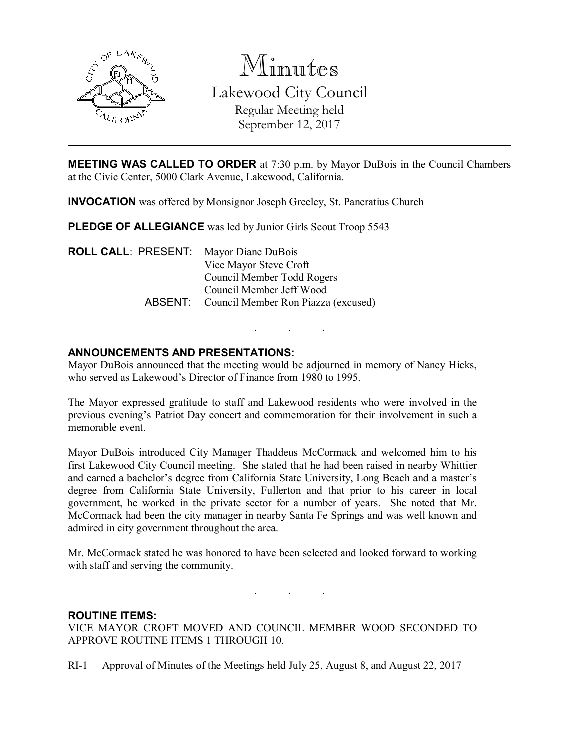

Minutes

Lakewood City Council Regular Meeting held

September 12, 2017

MEETING WAS CALLED TO ORDER at 7:30 p.m. by Mayor DuBois in the Council Chambers at the Civic Center, 5000 Clark Avenue, Lakewood, California.

INVOCATION was offered by Monsignor Joseph Greeley, St. Pancratius Church

PLEDGE OF ALLEGIANCE was led by Junior Girls Scout Troop 5543

ROLL CALL: PRESENT: Mayor Diane DuBois Vice Mayor Steve Croft Council Member Todd Rogers Council Member Jeff Wood ABSENT: Council Member Ron Piazza (excused)

# ANNOUNCEMENTS AND PRESENTATIONS:

Mayor DuBois announced that the meeting would be adjourned in memory of Nancy Hicks, who served as Lakewood's Director of Finance from 1980 to 1995.

. . .

The Mayor expressed gratitude to staff and Lakewood residents who were involved in the previous evening's Patriot Day concert and commemoration for their involvement in such a memorable event.

Mayor DuBois introduced City Manager Thaddeus McCormack and welcomed him to his first Lakewood City Council meeting. She stated that he had been raised in nearby Whittier and earned a bachelor's degree from California State University, Long Beach and a master's degree from California State University, Fullerton and that prior to his career in local government, he worked in the private sector for a number of years. She noted that Mr. McCormack had been the city manager in nearby Santa Fe Springs and was well known and admired in city government throughout the area.

Mr. McCormack stated he was honored to have been selected and looked forward to working with staff and serving the community.

. . .

### ROUTINE ITEMS:

VICE MAYOR CROFT MOVED AND COUNCIL MEMBER WOOD SECONDED TO APPROVE ROUTINE ITEMS 1 THROUGH 10.

RI-1 Approval of Minutes of the Meetings held July 25, August 8, and August 22, 2017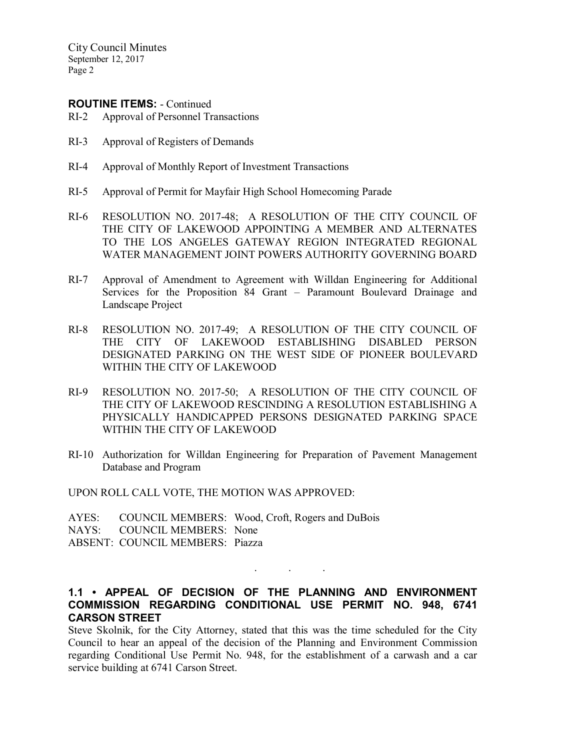### ROUTINE ITEMS: - Continued

- RI-2 Approval of Personnel Transactions
- RI-3 Approval of Registers of Demands
- RI-4 Approval of Monthly Report of Investment Transactions
- RI-5 Approval of Permit for Mayfair High School Homecoming Parade
- RI-6 RESOLUTION NO. 2017-48; A RESOLUTION OF THE CITY COUNCIL OF THE CITY OF LAKEWOOD APPOINTING A MEMBER AND ALTERNATES TO THE LOS ANGELES GATEWAY REGION INTEGRATED REGIONAL WATER MANAGEMENT JOINT POWERS AUTHORITY GOVERNING BOARD
- RI-7 Approval of Amendment to Agreement with Willdan Engineering for Additional Services for the Proposition 84 Grant – Paramount Boulevard Drainage and Landscape Project
- RI-8 RESOLUTION NO. 2017-49; A RESOLUTION OF THE CITY COUNCIL OF THE CITY OF LAKEWOOD ESTABLISHING DISABLED PERSON DESIGNATED PARKING ON THE WEST SIDE OF PIONEER BOULEVARD WITHIN THE CITY OF LAKEWOOD
- RI-9 RESOLUTION NO. 2017-50; A RESOLUTION OF THE CITY COUNCIL OF THE CITY OF LAKEWOOD RESCINDING A RESOLUTION ESTABLISHING A PHYSICALLY HANDICAPPED PERSONS DESIGNATED PARKING SPACE WITHIN THE CITY OF LAKEWOOD
- RI-10 Authorization for Willdan Engineering for Preparation of Pavement Management Database and Program

UPON ROLL CALL VOTE, THE MOTION WAS APPROVED:

AYES: COUNCIL MEMBERS: Wood, Croft, Rogers and DuBois NAYS: COUNCIL MEMBERS: None ABSENT: COUNCIL MEMBERS: Piazza

### 1.1 • APPEAL OF DECISION OF THE PLANNING AND ENVIRONMENT COMMISSION REGARDING CONDITIONAL USE PERMIT NO. 948, 6741 CARSON STREET

. . .

Steve Skolnik, for the City Attorney, stated that this was the time scheduled for the City Council to hear an appeal of the decision of the Planning and Environment Commission regarding Conditional Use Permit No. 948, for the establishment of a carwash and a car service building at 6741 Carson Street.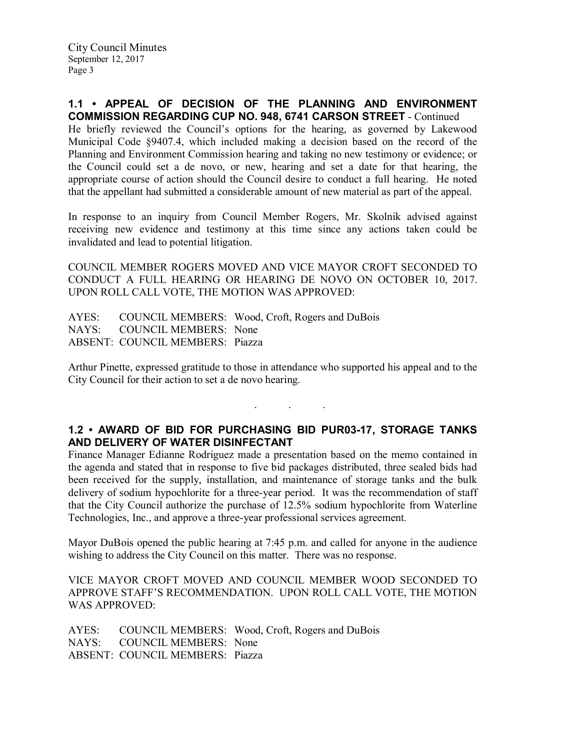### 1.1 • APPEAL OF DECISION OF THE PLANNING AND ENVIRONMENT COMMISSION REGARDING CUP NO. 948, 6741 CARSON STREET - Continued

He briefly reviewed the Council's options for the hearing, as governed by Lakewood Municipal Code §9407.4, which included making a decision based on the record of the Planning and Environment Commission hearing and taking no new testimony or evidence; or the Council could set a de novo, or new, hearing and set a date for that hearing, the appropriate course of action should the Council desire to conduct a full hearing. He noted that the appellant had submitted a considerable amount of new material as part of the appeal.

In response to an inquiry from Council Member Rogers, Mr. Skolnik advised against receiving new evidence and testimony at this time since any actions taken could be invalidated and lead to potential litigation.

COUNCIL MEMBER ROGERS MOVED AND VICE MAYOR CROFT SECONDED TO CONDUCT A FULL HEARING OR HEARING DE NOVO ON OCTOBER 10, 2017. UPON ROLL CALL VOTE, THE MOTION WAS APPROVED:

AYES: COUNCIL MEMBERS: Wood, Croft, Rogers and DuBois NAYS: COUNCIL MEMBERS: None COUNCIL MEMBERS: None ABSENT: COUNCIL MEMBERS: Piazza

Arthur Pinette, expressed gratitude to those in attendance who supported his appeal and to the City Council for their action to set a de novo hearing.

# 1.2 • AWARD OF BID FOR PURCHASING BID PUR03-17, STORAGE TANKS AND DELIVERY OF WATER DISINFECTANT

. . .

Finance Manager Edianne Rodriguez made a presentation based on the memo contained in the agenda and stated that in response to five bid packages distributed, three sealed bids had been received for the supply, installation, and maintenance of storage tanks and the bulk delivery of sodium hypochlorite for a three-year period. It was the recommendation of staff that the City Council authorize the purchase of 12.5% sodium hypochlorite from Waterline Technologies, Inc., and approve a three-year professional services agreement.

Mayor DuBois opened the public hearing at 7:45 p.m. and called for anyone in the audience wishing to address the City Council on this matter. There was no response.

VICE MAYOR CROFT MOVED AND COUNCIL MEMBER WOOD SECONDED TO APPROVE STAFF'S RECOMMENDATION. UPON ROLL CALL VOTE, THE MOTION WAS APPROVED:

AYES: COUNCIL MEMBERS: Wood, Croft, Rogers and DuBois NAYS: COUNCIL MEMBERS: None ABSENT: COUNCIL MEMBERS: Piazza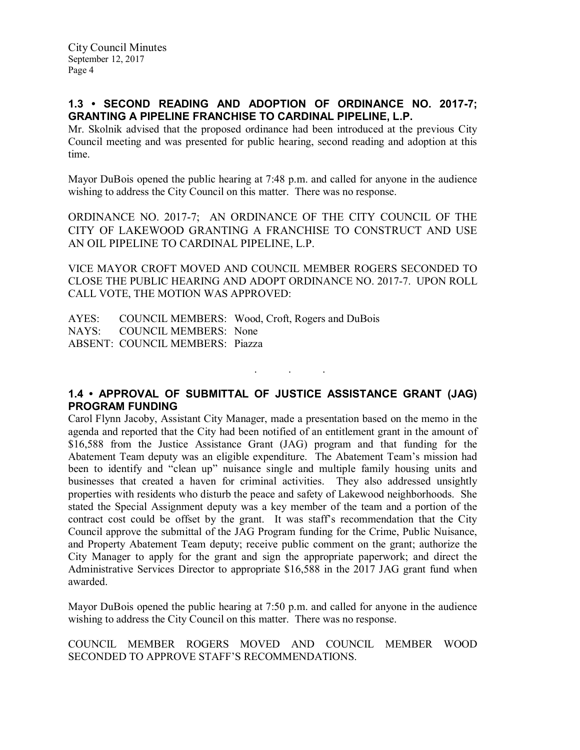# 1.3 • SECOND READING AND ADOPTION OF ORDINANCE NO. 2017-7; GRANTING A PIPELINE FRANCHISE TO CARDINAL PIPELINE, L.P.

Mr. Skolnik advised that the proposed ordinance had been introduced at the previous City Council meeting and was presented for public hearing, second reading and adoption at this time.

Mayor DuBois opened the public hearing at 7:48 p.m. and called for anyone in the audience wishing to address the City Council on this matter. There was no response.

ORDINANCE NO. 2017-7; AN ORDINANCE OF THE CITY COUNCIL OF THE CITY OF LAKEWOOD GRANTING A FRANCHISE TO CONSTRUCT AND USE AN OIL PIPELINE TO CARDINAL PIPELINE, L.P.

VICE MAYOR CROFT MOVED AND COUNCIL MEMBER ROGERS SECONDED TO CLOSE THE PUBLIC HEARING AND ADOPT ORDINANCE NO. 2017-7. UPON ROLL CALL VOTE, THE MOTION WAS APPROVED:

AYES: COUNCIL MEMBERS: Wood, Croft, Rogers and DuBois NAYS: COUNCIL MEMBERS: None ABSENT: COUNCIL MEMBERS: Piazza

1.4 • APPROVAL OF SUBMITTAL OF JUSTICE ASSISTANCE GRANT (JAG) PROGRAM FUNDING

. . .

Carol Flynn Jacoby, Assistant City Manager, made a presentation based on the memo in the agenda and reported that the City had been notified of an entitlement grant in the amount of \$16,588 from the Justice Assistance Grant (JAG) program and that funding for the Abatement Team deputy was an eligible expenditure. The Abatement Team's mission had been to identify and "clean up" nuisance single and multiple family housing units and businesses that created a haven for criminal activities. They also addressed unsightly properties with residents who disturb the peace and safety of Lakewood neighborhoods. She stated the Special Assignment deputy was a key member of the team and a portion of the contract cost could be offset by the grant. It was staff's recommendation that the City Council approve the submittal of the JAG Program funding for the Crime, Public Nuisance, and Property Abatement Team deputy; receive public comment on the grant; authorize the City Manager to apply for the grant and sign the appropriate paperwork; and direct the Administrative Services Director to appropriate \$16,588 in the 2017 JAG grant fund when awarded.

Mayor DuBois opened the public hearing at 7:50 p.m. and called for anyone in the audience wishing to address the City Council on this matter. There was no response.

COUNCIL MEMBER ROGERS MOVED AND COUNCIL MEMBER WOOD SECONDED TO APPROVE STAFF'S RECOMMENDATIONS.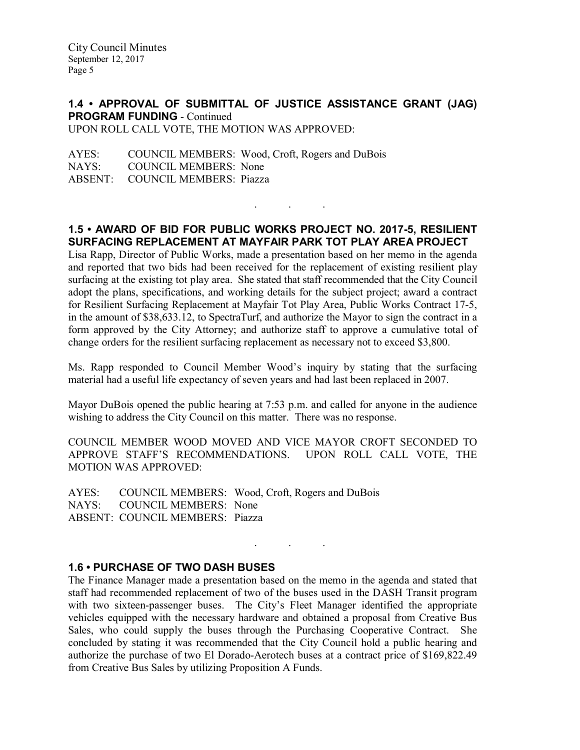#### 1.4 • APPROVAL OF SUBMITTAL OF JUSTICE ASSISTANCE GRANT (JAG) PROGRAM FUNDING - Continued UPON ROLL CALL VOTE, THE MOTION WAS APPROVED:

AYES: COUNCIL MEMBERS: Wood, Croft, Rogers and DuBois<br>NAYS: COUNCIL MEMBERS: None COUNCIL MEMBERS: None ABSENT: COUNCIL MEMBERS: Piazza

1.5 • AWARD OF BID FOR PUBLIC WORKS PROJECT NO. 2017-5, RESILIENT SURFACING REPLACEMENT AT MAYFAIR PARK TOT PLAY AREA PROJECT

. . .

Lisa Rapp, Director of Public Works, made a presentation based on her memo in the agenda and reported that two bids had been received for the replacement of existing resilient play surfacing at the existing tot play area. She stated that staff recommended that the City Council adopt the plans, specifications, and working details for the subject project; award a contract for Resilient Surfacing Replacement at Mayfair Tot Play Area, Public Works Contract 17-5, in the amount of \$38,633.12, to SpectraTurf, and authorize the Mayor to sign the contract in a form approved by the City Attorney; and authorize staff to approve a cumulative total of change orders for the resilient surfacing replacement as necessary not to exceed \$3,800.

Ms. Rapp responded to Council Member Wood's inquiry by stating that the surfacing material had a useful life expectancy of seven years and had last been replaced in 2007.

Mayor DuBois opened the public hearing at 7:53 p.m. and called for anyone in the audience wishing to address the City Council on this matter. There was no response.

COUNCIL MEMBER WOOD MOVED AND VICE MAYOR CROFT SECONDED TO APPROVE STAFF'S RECOMMENDATIONS. UPON ROLL CALL VOTE, THE MOTION WAS APPROVED:

AYES: COUNCIL MEMBERS: Wood, Croft, Rogers and DuBois NAYS: COUNCIL MEMBERS: None ABSENT: COUNCIL MEMBERS: Piazza

### 1.6 • PURCHASE OF TWO DASH BUSES

The Finance Manager made a presentation based on the memo in the agenda and stated that staff had recommended replacement of two of the buses used in the DASH Transit program with two sixteen-passenger buses. The City's Fleet Manager identified the appropriate vehicles equipped with the necessary hardware and obtained a proposal from Creative Bus Sales, who could supply the buses through the Purchasing Cooperative Contract. She concluded by stating it was recommended that the City Council hold a public hearing and authorize the purchase of two El Dorado-Aerotech buses at a contract price of \$169,822.49 from Creative Bus Sales by utilizing Proposition A Funds.

. . .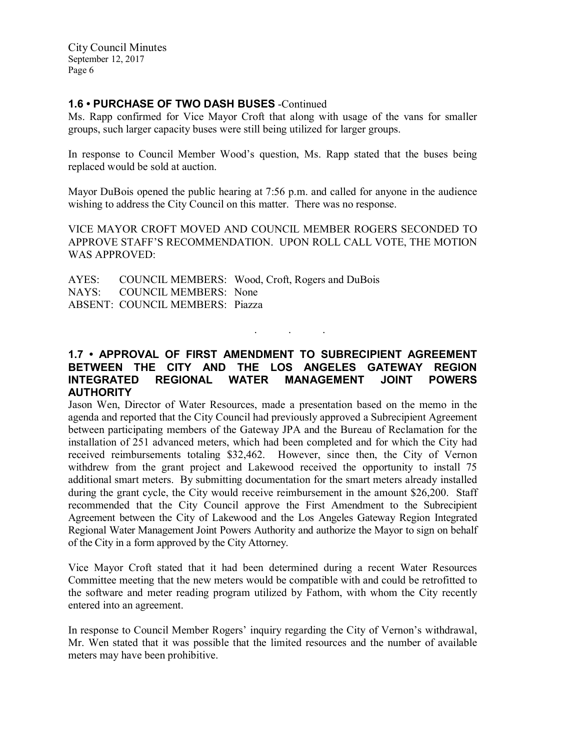# 1.6 • PURCHASE OF TWO DASH BUSES -Continued

Ms. Rapp confirmed for Vice Mayor Croft that along with usage of the vans for smaller groups, such larger capacity buses were still being utilized for larger groups.

In response to Council Member Wood's question, Ms. Rapp stated that the buses being replaced would be sold at auction.

Mayor DuBois opened the public hearing at 7:56 p.m. and called for anyone in the audience wishing to address the City Council on this matter. There was no response.

VICE MAYOR CROFT MOVED AND COUNCIL MEMBER ROGERS SECONDED TO APPROVE STAFF'S RECOMMENDATION. UPON ROLL CALL VOTE, THE MOTION WAS APPROVED:

AYES: COUNCIL MEMBERS: Wood, Croft, Rogers and DuBois NAYS: COUNCIL MEMBERS: None ABSENT: COUNCIL MEMBERS: Piazza

### 1.7 • APPROVAL OF FIRST AMENDMENT TO SUBRECIPIENT AGREEMENT BETWEEN THE CITY AND THE LOS ANGELES GATEWAY REGION INTEGRATED REGIONAL WATER MANAGEMENT JOINT POWERS **AUTHORITY**

. . .

Jason Wen, Director of Water Resources, made a presentation based on the memo in the agenda and reported that the City Council had previously approved a Subrecipient Agreement between participating members of the Gateway JPA and the Bureau of Reclamation for the installation of 251 advanced meters, which had been completed and for which the City had received reimbursements totaling \$32,462. However, since then, the City of Vernon withdrew from the grant project and Lakewood received the opportunity to install 75 additional smart meters. By submitting documentation for the smart meters already installed during the grant cycle, the City would receive reimbursement in the amount \$26,200. Staff recommended that the City Council approve the First Amendment to the Subrecipient Agreement between the City of Lakewood and the Los Angeles Gateway Region Integrated Regional Water Management Joint Powers Authority and authorize the Mayor to sign on behalf of the City in a form approved by the City Attorney.

Vice Mayor Croft stated that it had been determined during a recent Water Resources Committee meeting that the new meters would be compatible with and could be retrofitted to the software and meter reading program utilized by Fathom, with whom the City recently entered into an agreement.

In response to Council Member Rogers' inquiry regarding the City of Vernon's withdrawal, Mr. Wen stated that it was possible that the limited resources and the number of available meters may have been prohibitive.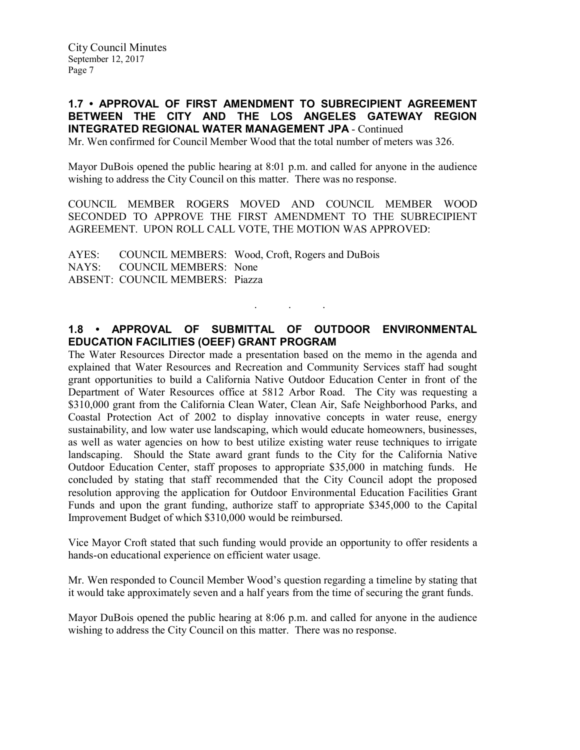# 1.7 • APPROVAL OF FIRST AMENDMENT TO SUBRECIPIENT AGREEMENT BETWEEN THE CITY AND THE LOS ANGELES GATEWAY REGION INTEGRATED REGIONAL WATER MANAGEMENT JPA - Continued

Mr. Wen confirmed for Council Member Wood that the total number of meters was 326.

Mayor DuBois opened the public hearing at 8:01 p.m. and called for anyone in the audience wishing to address the City Council on this matter. There was no response.

COUNCIL MEMBER ROGERS MOVED AND COUNCIL MEMBER WOOD SECONDED TO APPROVE THE FIRST AMENDMENT TO THE SUBRECIPIENT AGREEMENT. UPON ROLL CALL VOTE, THE MOTION WAS APPROVED:

AYES: COUNCIL MEMBERS: Wood, Croft, Rogers and DuBois NAYS: COUNCIL MEMBERS: None ABSENT: COUNCIL MEMBERS: Piazza

# 1.8 • APPROVAL OF SUBMITTAL OF OUTDOOR ENVIRONMENTAL EDUCATION FACILITIES (OEEF) GRANT PROGRAM

. . .

The Water Resources Director made a presentation based on the memo in the agenda and explained that Water Resources and Recreation and Community Services staff had sought grant opportunities to build a California Native Outdoor Education Center in front of the Department of Water Resources office at 5812 Arbor Road. The City was requesting a \$310,000 grant from the California Clean Water, Clean Air, Safe Neighborhood Parks, and Coastal Protection Act of 2002 to display innovative concepts in water reuse, energy sustainability, and low water use landscaping, which would educate homeowners, businesses, as well as water agencies on how to best utilize existing water reuse techniques to irrigate landscaping. Should the State award grant funds to the City for the California Native Outdoor Education Center, staff proposes to appropriate \$35,000 in matching funds. He concluded by stating that staff recommended that the City Council adopt the proposed resolution approving the application for Outdoor Environmental Education Facilities Grant Funds and upon the grant funding, authorize staff to appropriate \$345,000 to the Capital Improvement Budget of which \$310,000 would be reimbursed.

Vice Mayor Croft stated that such funding would provide an opportunity to offer residents a hands-on educational experience on efficient water usage.

Mr. Wen responded to Council Member Wood's question regarding a timeline by stating that it would take approximately seven and a half years from the time of securing the grant funds.

Mayor DuBois opened the public hearing at 8:06 p.m. and called for anyone in the audience wishing to address the City Council on this matter. There was no response.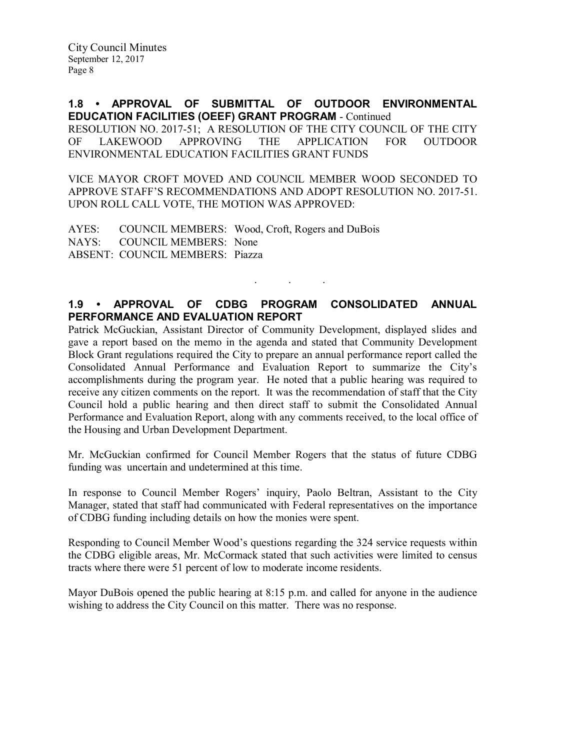1.8 • APPROVAL OF SUBMITTAL OF OUTDOOR ENVIRONMENTAL EDUCATION FACILITIES (OEEF) GRANT PROGRAM - Continued RESOLUTION NO. 2017-51; A RESOLUTION OF THE CITY COUNCIL OF THE CITY OF LAKEWOOD APPROVING THE APPLICATION FOR OUTDOOR ENVIRONMENTAL EDUCATION FACILITIES GRANT FUNDS

VICE MAYOR CROFT MOVED AND COUNCIL MEMBER WOOD SECONDED TO APPROVE STAFF'S RECOMMENDATIONS AND ADOPT RESOLUTION NO. 2017-51. UPON ROLL CALL VOTE, THE MOTION WAS APPROVED:

AYES: COUNCIL MEMBERS: Wood, Croft, Rogers and DuBois NAYS: COUNCIL MEMBERS: None ABSENT: COUNCIL MEMBERS: Piazza

# 1.9 • APPROVAL OF CDBG PROGRAM CONSOLIDATED ANNUAL PERFORMANCE AND EVALUATION REPORT

. . .

Patrick McGuckian, Assistant Director of Community Development, displayed slides and gave a report based on the memo in the agenda and stated that Community Development Block Grant regulations required the City to prepare an annual performance report called the Consolidated Annual Performance and Evaluation Report to summarize the City's accomplishments during the program year. He noted that a public hearing was required to receive any citizen comments on the report. It was the recommendation of staff that the City Council hold a public hearing and then direct staff to submit the Consolidated Annual Performance and Evaluation Report, along with any comments received, to the local office of the Housing and Urban Development Department.

Mr. McGuckian confirmed for Council Member Rogers that the status of future CDBG funding was uncertain and undetermined at this time.

In response to Council Member Rogers' inquiry, Paolo Beltran, Assistant to the City Manager, stated that staff had communicated with Federal representatives on the importance of CDBG funding including details on how the monies were spent.

Responding to Council Member Wood's questions regarding the 324 service requests within the CDBG eligible areas, Mr. McCormack stated that such activities were limited to census tracts where there were 51 percent of low to moderate income residents.

Mayor DuBois opened the public hearing at 8:15 p.m. and called for anyone in the audience wishing to address the City Council on this matter. There was no response.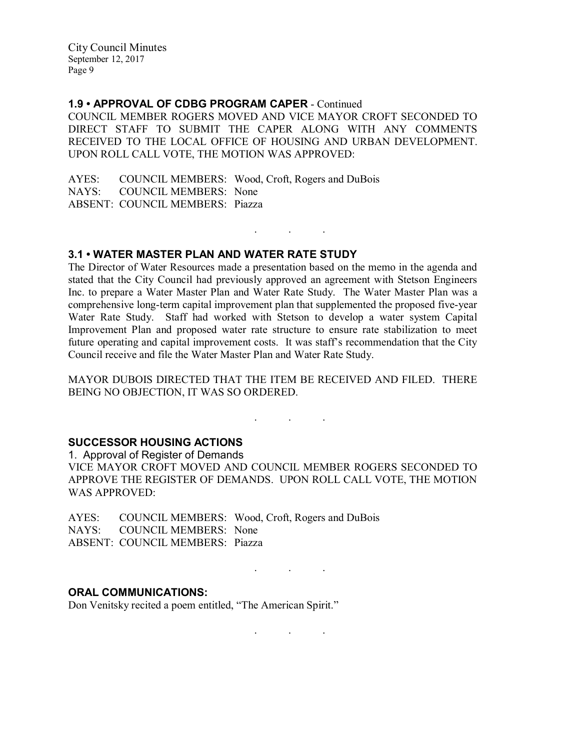### 1.9 • APPROVAL OF CDBG PROGRAM CAPER - Continued

COUNCIL MEMBER ROGERS MOVED AND VICE MAYOR CROFT SECONDED TO DIRECT STAFF TO SUBMIT THE CAPER ALONG WITH ANY COMMENTS RECEIVED TO THE LOCAL OFFICE OF HOUSING AND URBAN DEVELOPMENT. UPON ROLL CALL VOTE, THE MOTION WAS APPROVED:

AYES: COUNCIL MEMBERS: Wood, Croft, Rogers and DuBois NAYS: COUNCIL MEMBERS: None ABSENT: COUNCIL MEMBERS: Piazza

#### 3.1 • WATER MASTER PLAN AND WATER RATE STUDY

The Director of Water Resources made a presentation based on the memo in the agenda and stated that the City Council had previously approved an agreement with Stetson Engineers Inc. to prepare a Water Master Plan and Water Rate Study. The Water Master Plan was a comprehensive long-term capital improvement plan that supplemented the proposed five-year Water Rate Study. Staff had worked with Stetson to develop a water system Capital Improvement Plan and proposed water rate structure to ensure rate stabilization to meet future operating and capital improvement costs. It was staff's recommendation that the City Council receive and file the Water Master Plan and Water Rate Study.

. . .

MAYOR DUBOIS DIRECTED THAT THE ITEM BE RECEIVED AND FILED. THERE BEING NO OBJECTION, IT WAS SO ORDERED.

. . .

. . .

. . .

### SUCCESSOR HOUSING ACTIONS

1. Approval of Register of Demands VICE MAYOR CROFT MOVED AND COUNCIL MEMBER ROGERS SECONDED TO APPROVE THE REGISTER OF DEMANDS. UPON ROLL CALL VOTE, THE MOTION WAS APPROVED:

AYES: COUNCIL MEMBERS: Wood, Croft, Rogers and DuBois NAYS: COUNCIL MEMBERS: None ABSENT: COUNCIL MEMBERS: Piazza

### ORAL COMMUNICATIONS:

Don Venitsky recited a poem entitled, "The American Spirit."